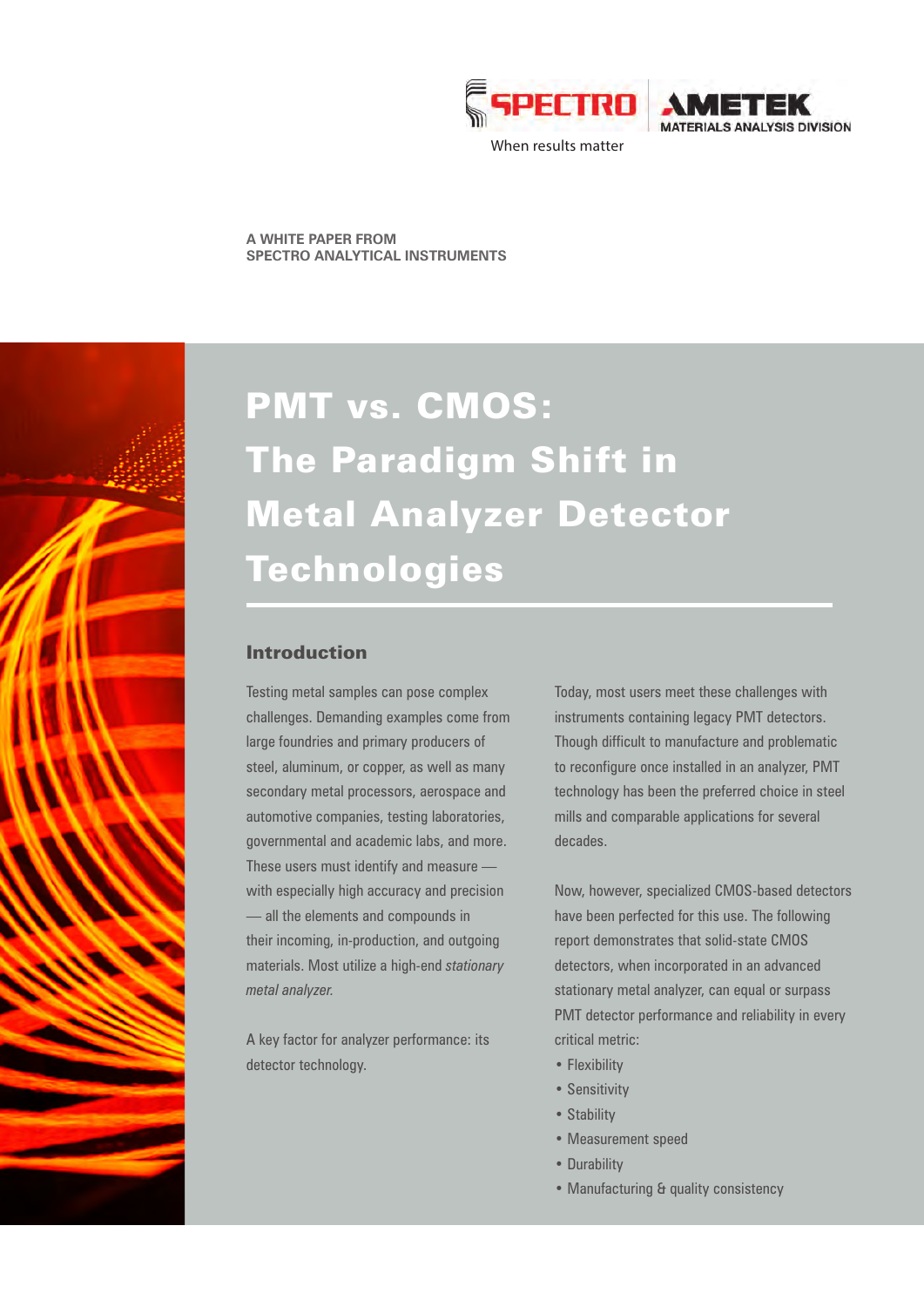

**IS DIVISION** 

When results matter

**A WHITE PAPER FROM SPECTRO ANALYTICAL INSTRUMENTS**

# PMT vs. CMOS: The Paradigm Shift in Metal Analyzer Detector Technologies

## Introduction

Testing metal samples can pose complex challenges. Demanding examples come from large foundries and primary producers of steel, aluminum, or copper, as well as many secondary metal processors, aerospace and automotive companies, testing laboratories, governmental and academic labs, and more. These users must identify and measure with especially high accuracy and precision — all the elements and compounds in their incoming, in-production, and outgoing materials. Most utilize a high-end *stationary metal analyzer.*

A key factor for analyzer performance: its detector technology.

Today, most users meet these challenges with instruments containing legacy PMT detectors. Though difficult to manufacture and problematic to reconfigure once installed in an analyzer, PMT technology has been the preferred choice in steel mills and comparable applications for several decades.

Now, however, specialized CMOS-based detectors have been perfected for this use. The following report demonstrates that solid-state CMOS detectors, when incorporated in an advanced stationary metal analyzer, can equal or surpass PMT detector performance and reliability in every critical metric:

- Flexibility
- Sensitivity
- Stability
- Measurement speed
- Durability
- Manufacturing & quality consistency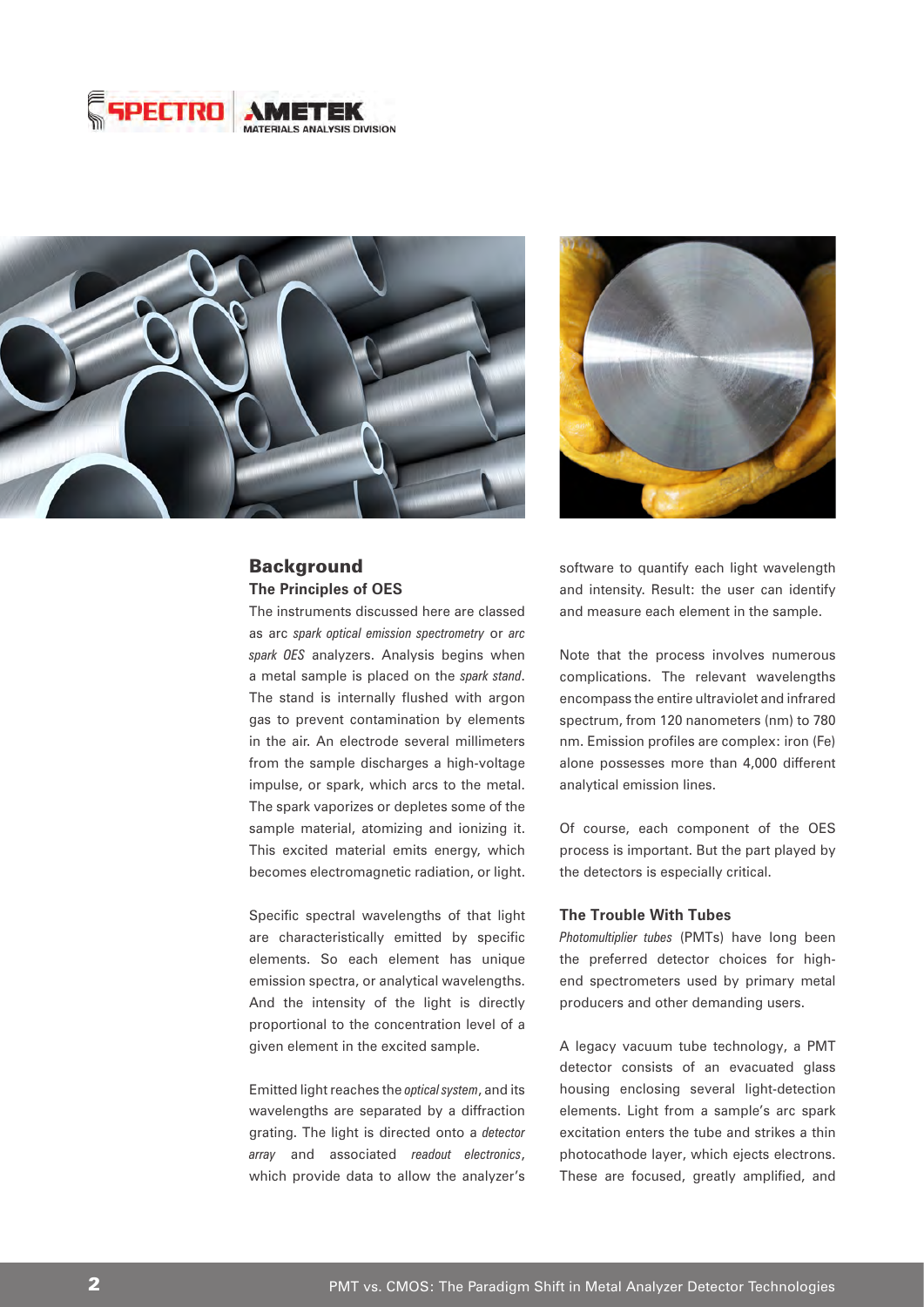





## Background **The Principles of OES**

The instruments discussed here are classed as arc *spark optical emission spectrometry* or *arc spark OES* analyzers. Analysis begins when a metal sample is placed on the *spark stand*. The stand is internally flushed with argon gas to prevent contamination by elements in the air. An electrode several millimeters from the sample discharges a high-voltage impulse, or spark, which arcs to the metal. The spark vaporizes or depletes some of the sample material, atomizing and ionizing it. This excited material emits energy, which becomes electromagnetic radiation, or light.

Specific spectral wavelengths of that light are characteristically emitted by specific elements. So each element has unique emission spectra, or analytical wavelengths. And the intensity of the light is directly proportional to the concentration level of a given element in the excited sample.

Emitted light reaches the *optical system*, and its wavelengths are separated by a diffraction grating. The light is directed onto a *detector array* and associated *readout electronics*, which provide data to allow the analyzer's software to quantify each light wavelength and intensity. Result: the user can identify and measure each element in the sample.

Note that the process involves numerous complications. The relevant wavelengths encompass the entire ultraviolet and infrared spectrum, from 120 nanometers (nm) to 780 nm. Emission profiles are complex: iron (Fe) alone possesses more than 4,000 different analytical emission lines.

Of course, each component of the OES process is important. But the part played by the detectors is especially critical.

### **The Trouble With Tubes**

*Photomultiplier tubes* (PMTs) have long been the preferred detector choices for highend spectrometers used by primary metal producers and other demanding users.

A legacy vacuum tube technology, a PMT detector consists of an evacuated glass housing enclosing several light-detection elements. Light from a sample's arc spark excitation enters the tube and strikes a thin photocathode layer, which ejects electrons. These are focused, greatly amplified, and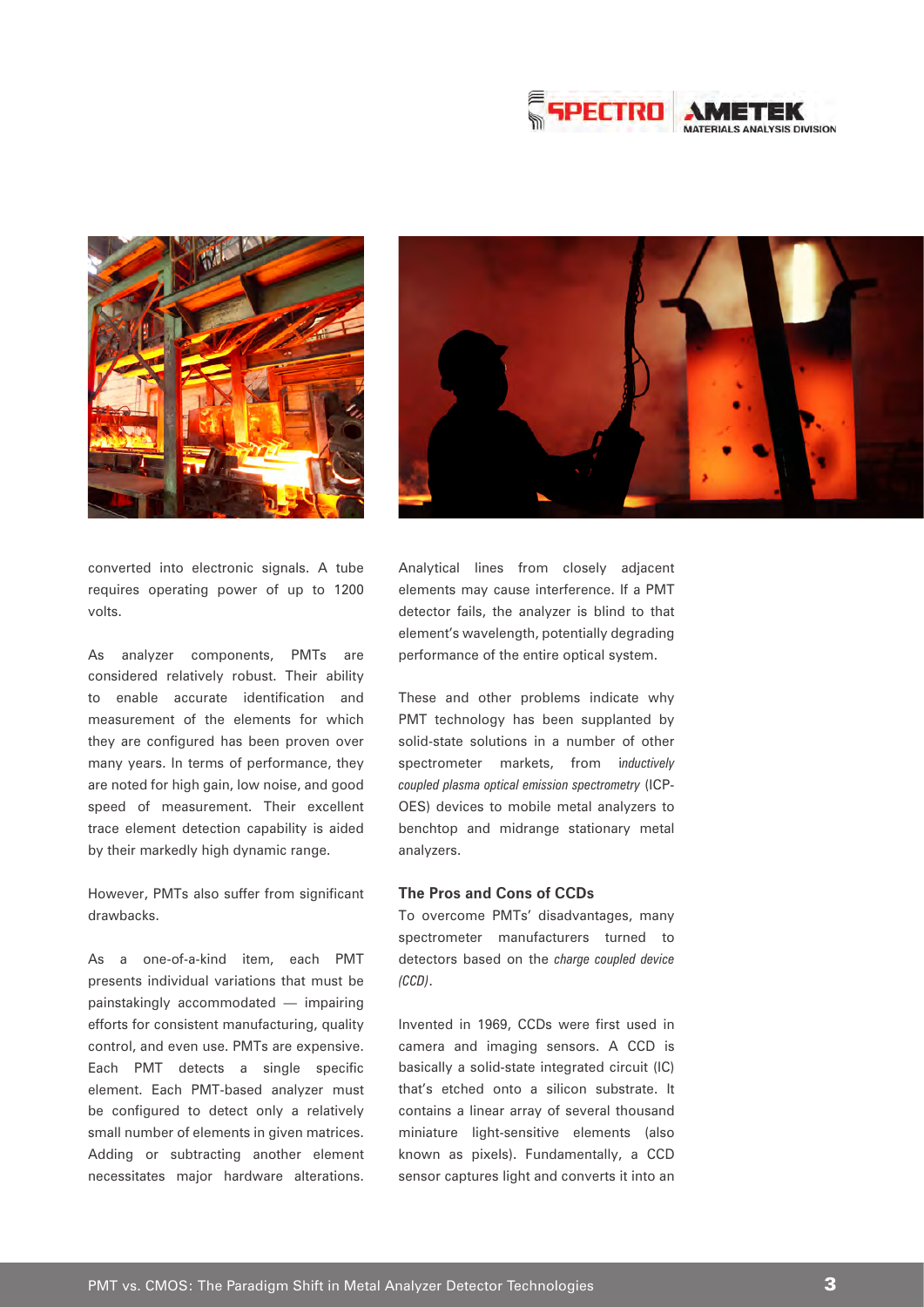





converted into electronic signals. A tube requires operating power of up to 1200 volts.

As analyzer components, PMTs are considered relatively robust. Their ability to enable accurate identification and measurement of the elements for which they are configured has been proven over many years. In terms of performance, they are noted for high gain, low noise, and good speed of measurement. Their excellent trace element detection capability is aided by their markedly high dynamic range.

However, PMTs also suffer from significant drawbacks.

As a one-of-a-kind item, each PMT presents individual variations that must be painstakingly accommodated — impairing efforts for consistent manufacturing, quality control, and even use. PMTs are expensive. Each PMT detects a single specific element. Each PMT-based analyzer must be configured to detect only a relatively small number of elements in given matrices. Adding or subtracting another element necessitates major hardware alterations.

Analytical lines from closely adjacent elements may cause interference. If a PMT detector fails, the analyzer is blind to that element's wavelength, potentially degrading performance of the entire optical system.

These and other problems indicate why PMT technology has been supplanted by solid-state solutions in a number of other spectrometer markets, from i*nductively coupled plasma optical emission spectrometry* (ICP-OES) devices to mobile metal analyzers to benchtop and midrange stationary metal analyzers.

#### **The Pros and Cons of CCDs**

To overcome PMTs' disadvantages, many spectrometer manufacturers turned to detectors based on the *charge coupled device (CCD)*.

Invented in 1969, CCDs were first used in camera and imaging sensors. A CCD is basically a solid-state integrated circuit (IC) that's etched onto a silicon substrate. It contains a linear array of several thousand miniature light-sensitive elements (also known as pixels). Fundamentally, a CCD sensor captures light and converts it into an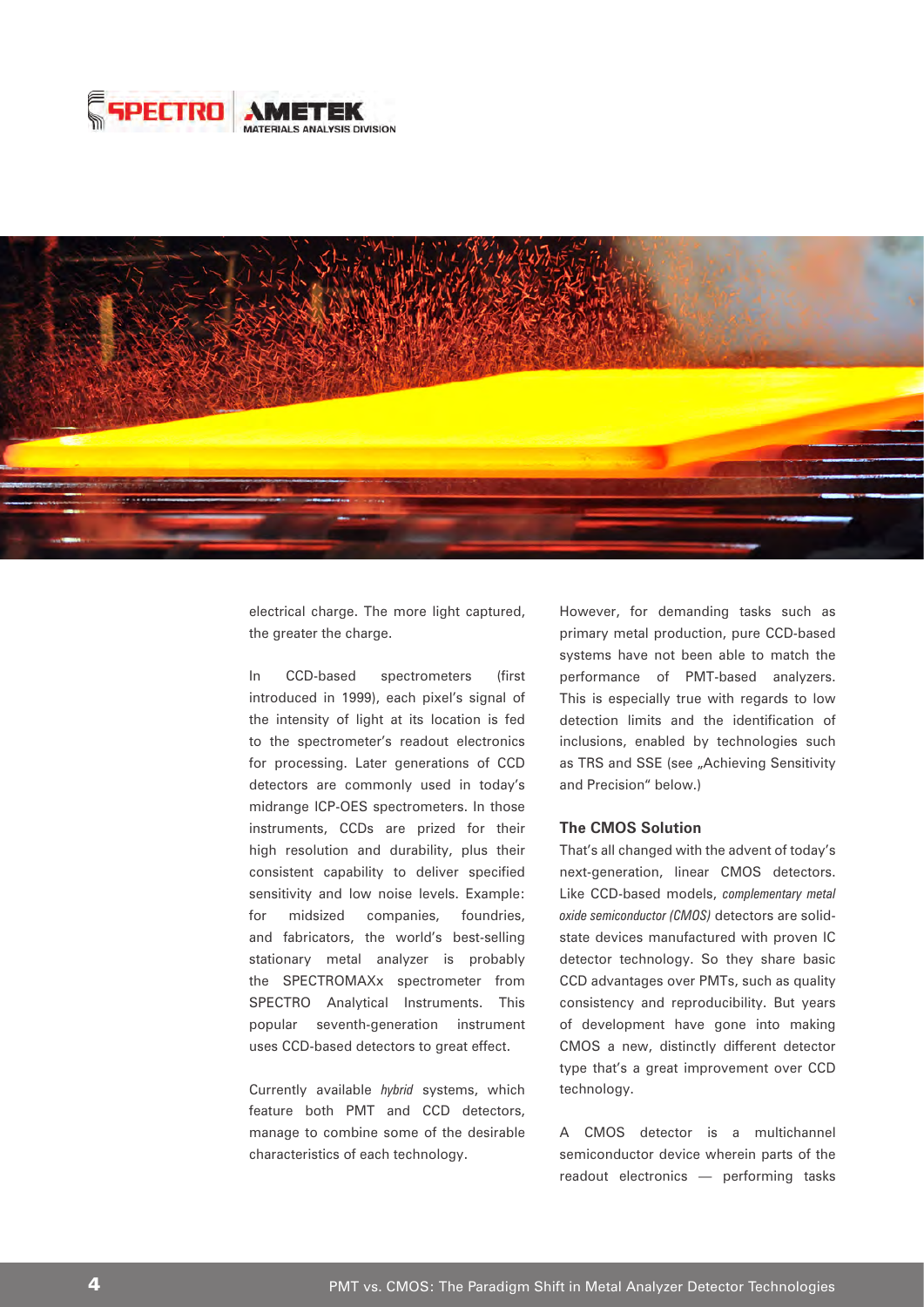



electrical charge. The more light captured, the greater the charge.

In CCD-based spectrometers (first introduced in 1999), each pixel's signal of the intensity of light at its location is fed to the spectrometer's readout electronics for processing. Later generations of CCD detectors are commonly used in today's midrange ICP-OES spectrometers. In those instruments, CCDs are prized for their high resolution and durability, plus their consistent capability to deliver specified sensitivity and low noise levels. Example: for midsized companies, foundries, and fabricators, the world's best-selling stationary metal analyzer is probably the SPECTROMAXx spectrometer from SPECTRO Analytical Instruments. This popular seventh-generation instrument uses CCD-based detectors to great effect.

Currently available *hybrid* systems, which feature both PMT and CCD detectors, manage to combine some of the desirable characteristics of each technology.

However, for demanding tasks such as primary metal production, pure CCD-based systems have not been able to match the performance of PMT-based analyzers. This is especially true with regards to low detection limits and the identification of inclusions, enabled by technologies such as TRS and SSE (see "Achieving Sensitivity and Precision" below.)

#### **The CMOS Solution**

That's all changed with the advent of today's next-generation, linear CMOS detectors. Like CCD-based models, *complementary metal oxide semiconductor (CMOS)* detectors are solidstate devices manufactured with proven IC detector technology. So they share basic CCD advantages over PMTs, such as quality consistency and reproducibility. But years of development have gone into making CMOS a new, distinctly different detector type that's a great improvement over CCD technology.

A CMOS detector is a multichannel semiconductor device wherein parts of the readout electronics — performing tasks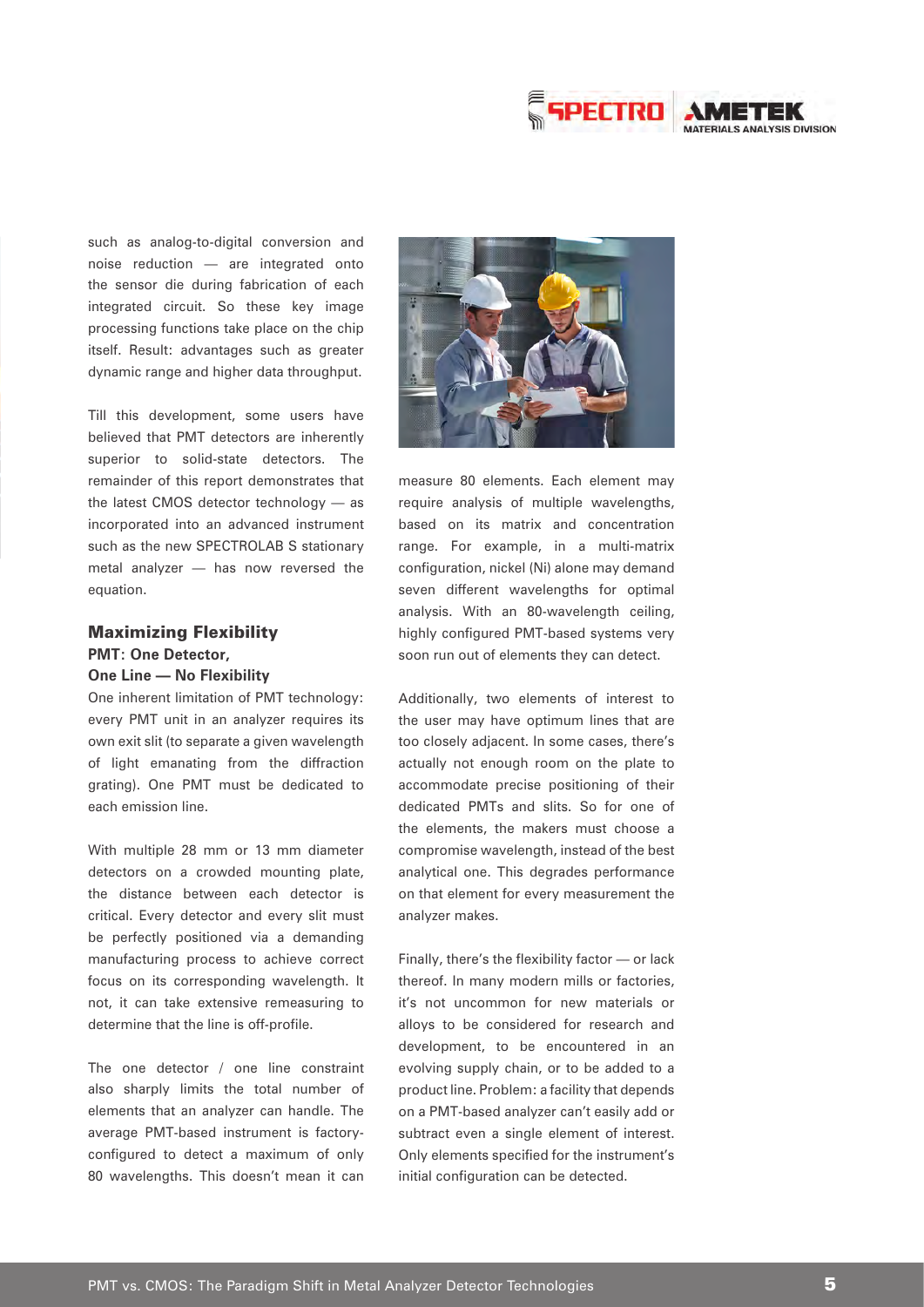

such as analog-to-digital conversion and noise reduction — are integrated onto the sensor die during fabrication of each integrated circuit. So these key image processing functions take place on the chip itself. Result: advantages such as greater dynamic range and higher data throughput.

Till this development, some users have believed that PMT detectors are inherently superior to solid-state detectors. The remainder of this report demonstrates that the latest CMOS detector technology — as incorporated into an advanced instrument such as the new SPECTROLAB S stationary metal analyzer — has now reversed the equation.

## Maximizing Flexibility **PMT: One Detector, One Line — No Flexibility**

One inherent limitation of PMT technology: every PMT unit in an analyzer requires its own exit slit (to separate a given wavelength of light emanating from the diffraction grating). One PMT must be dedicated to each emission line.

With multiple 28 mm or 13 mm diameter detectors on a crowded mounting plate, the distance between each detector is critical. Every detector and every slit must be perfectly positioned via a demanding manufacturing process to achieve correct focus on its corresponding wavelength. It not, it can take extensive remeasuring to determine that the line is off-profile.

The one detector / one line constraint also sharply limits the total number of elements that an analyzer can handle. The average PMT-based instrument is factoryconfigured to detect a maximum of only 80 wavelengths. This doesn't mean it can



measure 80 elements. Each element may require analysis of multiple wavelengths, based on its matrix and concentration range. For example, in a multi-matrix configuration, nickel (Ni) alone may demand seven different wavelengths for optimal analysis. With an 80-wavelength ceiling, highly configured PMT-based systems very soon run out of elements they can detect.

Additionally, two elements of interest to the user may have optimum lines that are too closely adjacent. In some cases, there's actually not enough room on the plate to accommodate precise positioning of their dedicated PMTs and slits. So for one of the elements, the makers must choose a compromise wavelength, instead of the best analytical one. This degrades performance on that element for every measurement the analyzer makes.

Finally, there's the flexibility factor — or lack thereof. In many modern mills or factories, it's not uncommon for new materials or alloys to be considered for research and development, to be encountered in an evolving supply chain, or to be added to a product line. Problem: a facility that depends on a PMT-based analyzer can't easily add or subtract even a single element of interest. Only elements specified for the instrument's initial configuration can be detected.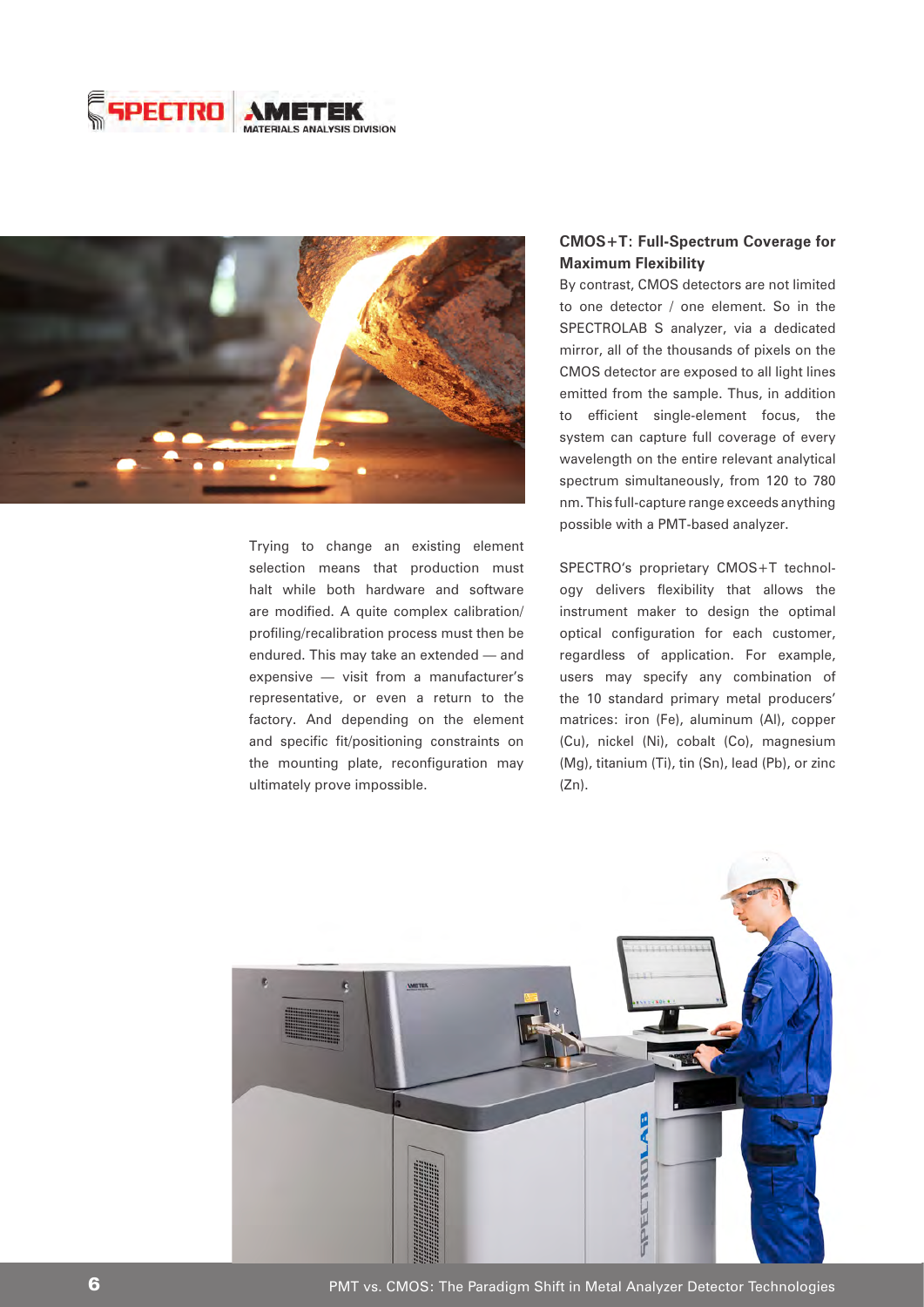



Trying to change an existing element selection means that production must halt while both hardware and software are modified. A quite complex calibration/ profiling/recalibration process must then be endured. This may take an extended — and expensive — visit from a manufacturer's representative, or even a return to the factory. And depending on the element and specific fit/positioning constraints on the mounting plate, reconfiguration may ultimately prove impossible.

## **CMOS+T: Full-Spectrum Coverage for Maximum Flexibility**

By contrast, CMOS detectors are not limited to one detector / one element. So in the SPECTROLAB S analyzer, via a dedicated mirror, all of the thousands of pixels on the CMOS detector are exposed to all light lines emitted from the sample. Thus, in addition to efficient single-element focus, the system can capture full coverage of every wavelength on the entire relevant analytical spectrum simultaneously, from 120 to 780 nm. This full-capture range exceeds anything possible with a PMT-based analyzer.

SPECTRO's proprietary CMOS+T technology delivers flexibility that allows the instrument maker to design the optimal optical configuration for each customer, regardless of application. For example, users may specify any combination of the 10 standard primary metal producers' matrices: iron (Fe), aluminum (Al), copper (Cu), nickel (Ni), cobalt (Co), magnesium (Mg), titanium (Ti), tin (Sn), lead (Pb), or zinc  $(Zn)$ .



**6 PMT** vs. CMOS: The Paradigm Shift in Metal Analyzer Detector Technologies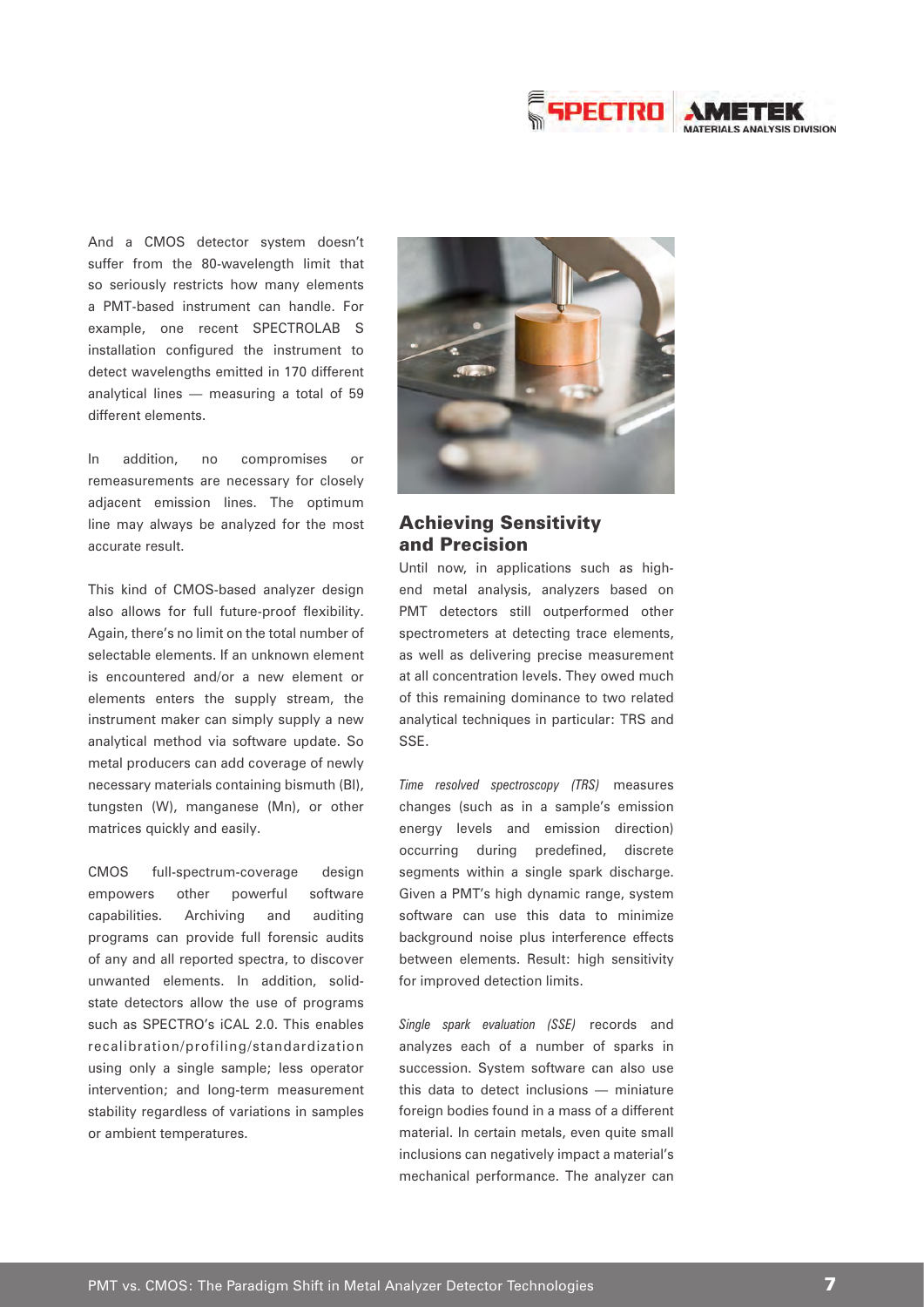

And a CMOS detector system doesn't suffer from the 80-wavelength limit that so seriously restricts how many elements a PMT-based instrument can handle. For example, one recent SPECTROLAB S installation configured the instrument to detect wavelengths emitted in 170 different analytical lines — measuring a total of 59 different elements.

In addition, no compromises or remeasurements are necessary for closely adjacent emission lines. The optimum line may always be analyzed for the most accurate result.

This kind of CMOS-based analyzer design also allows for full future-proof flexibility. Again, there's no limit on the total number of selectable elements. If an unknown element is encountered and/or a new element or elements enters the supply stream, the instrument maker can simply supply a new analytical method via software update. So metal producers can add coverage of newly necessary materials containing bismuth (BI), tungsten (W), manganese (Mn), or other matrices quickly and easily.

CMOS full-spectrum-coverage design empowers other powerful software capabilities. Archiving and auditing programs can provide full forensic audits of any and all reported spectra, to discover unwanted elements. In addition, solidstate detectors allow the use of programs such as SPECTRO's iCAL 2.0. This enables recalibration/profiling/standardization using only a single sample; less operator intervention; and long-term measurement stability regardless of variations in samples or ambient temperatures.



## Achieving Sensitivity and Precision

Until now, in applications such as highend metal analysis, analyzers based on PMT detectors still outperformed other spectrometers at detecting trace elements, as well as delivering precise measurement at all concentration levels. They owed much of this remaining dominance to two related analytical techniques in particular: TRS and SSE.

*Time resolved spectroscopy (TRS)* measures changes (such as in a sample's emission energy levels and emission direction) occurring during predefined, discrete segments within a single spark discharge. Given a PMT's high dynamic range, system software can use this data to minimize background noise plus interference effects between elements. Result: high sensitivity for improved detection limits.

*Single spark evaluation (SSE)* records and analyzes each of a number of sparks in succession. System software can also use this data to detect inclusions — miniature foreign bodies found in a mass of a different material. In certain metals, even quite small inclusions can negatively impact a material's mechanical performance. The analyzer can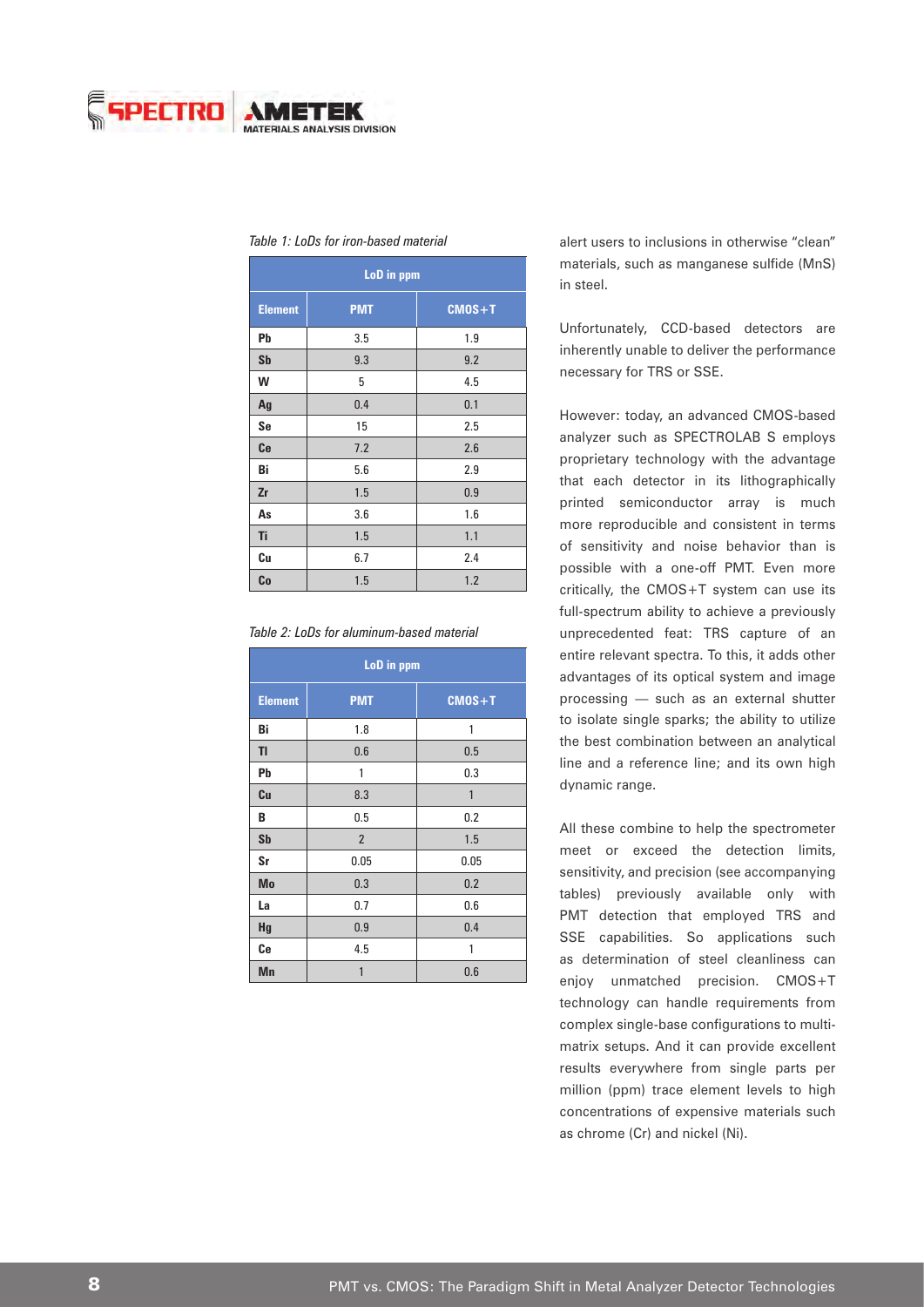

| LoD in ppm     |            |            |
|----------------|------------|------------|
| <b>Element</b> | <b>PMT</b> | $CMOS + T$ |
| Pb             | 3.5        | 1.9        |
| <b>Sb</b>      | 9.3        | 9.2        |
| W              | 5          | 4.5        |
| Ag             | 0.4        | 0.1        |
| Se             | 15         | 2.5        |
| Ce             | 7.2        | 2.6        |
| Bi             | 5.6        | 2.9        |
| Zr             | 1.5        | 0.9        |
| As             | 3.6        | 1.6        |
| Ti             | 1.5        | 1.1        |
| Cu             | 6.7        | 2.4        |
| Co             | 1.5        | 1.2        |

#### *Table 1: LoDs for iron-based material*

| LoD in ppm     |                |            |
|----------------|----------------|------------|
| <b>Element</b> | <b>PMT</b>     | $CMOS + T$ |
| Bi             | 1.8            | 1          |
| TI             | 0.6            | 0.5        |
| Pb             | 1              | 0.3        |
| Cu             | 8.3            | 1          |
| B              | 0.5            | 0.2        |
| <b>Sb</b>      | $\overline{2}$ | 1.5        |
| Sr             | 0.05           | 0.05       |
| <b>Mo</b>      | 0.3            | 0.2        |
| La             | 0.7            | 0.6        |
| Hg             | 0.9            | 0.4        |
| Сe             | 4.5            | 1          |
| Mn             | 1              | 0.6        |

alert users to inclusions in otherwise "clean" materials, such as manganese sulfide (MnS) in steel.

Unfortunately, CCD-based detectors are inherently unable to deliver the performance necessary for TRS or SSE.

However: today, an advanced CMOS-based analyzer such as SPECTROLAB S employs proprietary technology with the advantage that each detector in its lithographically printed semiconductor array is much more reproducible and consistent in terms of sensitivity and noise behavior than is possible with a one-off PMT. Even more critically, the CMOS+T system can use its full-spectrum ability to achieve a previously unprecedented feat: TRS capture of an entire relevant spectra. To this, it adds other advantages of its optical system and image processing — such as an external shutter to isolate single sparks; the ability to utilize the best combination between an analytical line and a reference line; and its own high dynamic range.

All these combine to help the spectrometer meet or exceed the detection limits, sensitivity, and precision (see accompanying tables) previously available only with PMT detection that employed TRS and SSE capabilities. So applications such as determination of steel cleanliness can enjoy unmatched precision. CMOS+T technology can handle requirements from complex single-base configurations to multimatrix setups. And it can provide excellent results everywhere from single parts per million (ppm) trace element levels to high concentrations of expensive materials such as chrome (Cr) and nickel (Ni).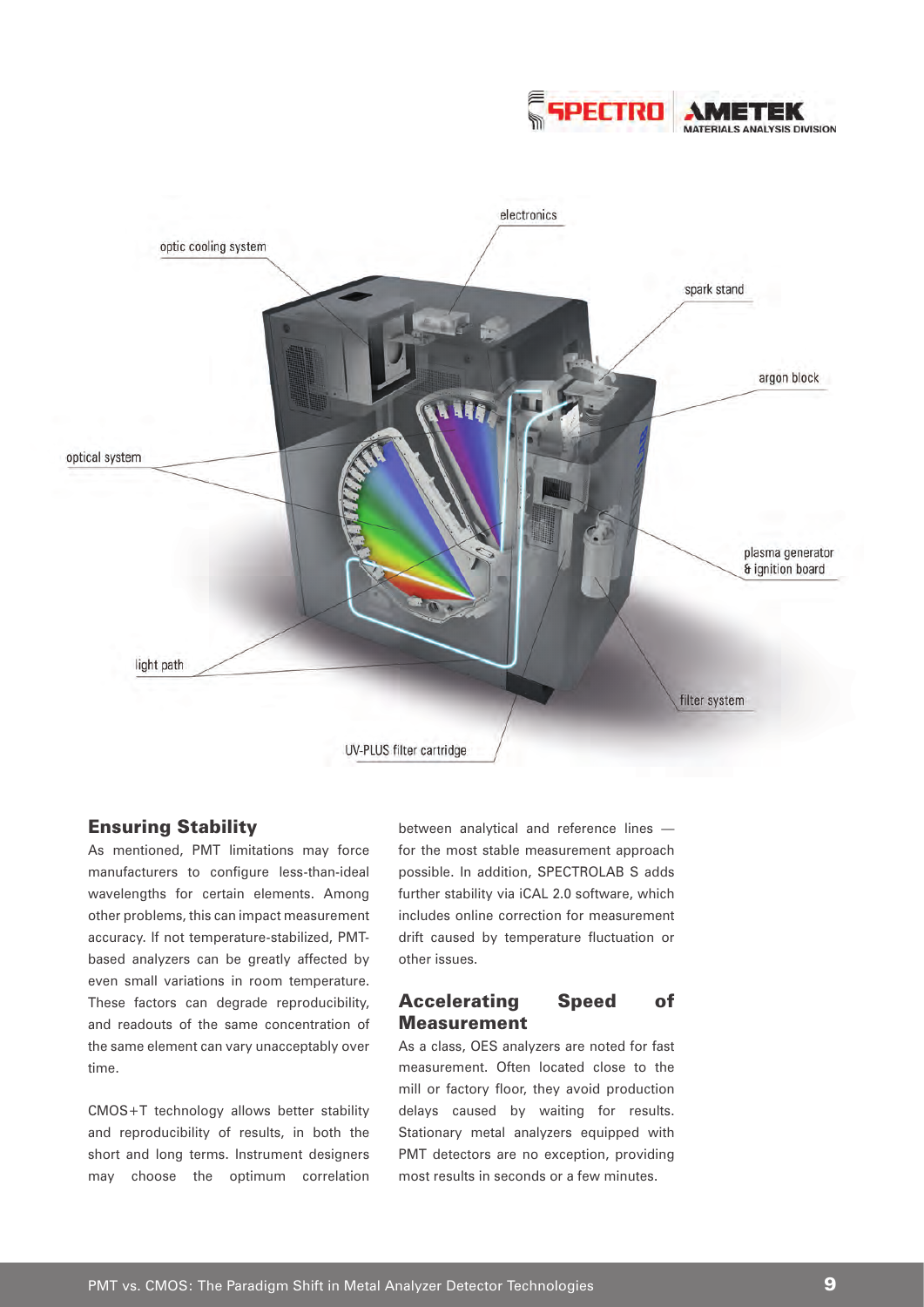



## Ensuring Stability

As mentioned, PMT limitations may force manufacturers to configure less-than-ideal wavelengths for certain elements. Among other problems, this can impact measurement accuracy. If not temperature-stabilized, PMTbased analyzers can be greatly affected by even small variations in room temperature. These factors can degrade reproducibility, and readouts of the same concentration of the same element can vary unacceptably over time.

CMOS+T technology allows better stability and reproducibility of results, in both the short and long terms. Instrument designers may choose the optimum correlation

between analytical and reference lines for the most stable measurement approach possible. In addition, SPECTROLAB S adds further stability via iCAL 2.0 software, which includes online correction for measurement drift caused by temperature fluctuation or other issues.

## Accelerating Speed of **Measurement**

As a class, OES analyzers are noted for fast measurement. Often located close to the mill or factory floor, they avoid production delays caused by waiting for results. Stationary metal analyzers equipped with PMT detectors are no exception, providing most results in seconds or a few minutes.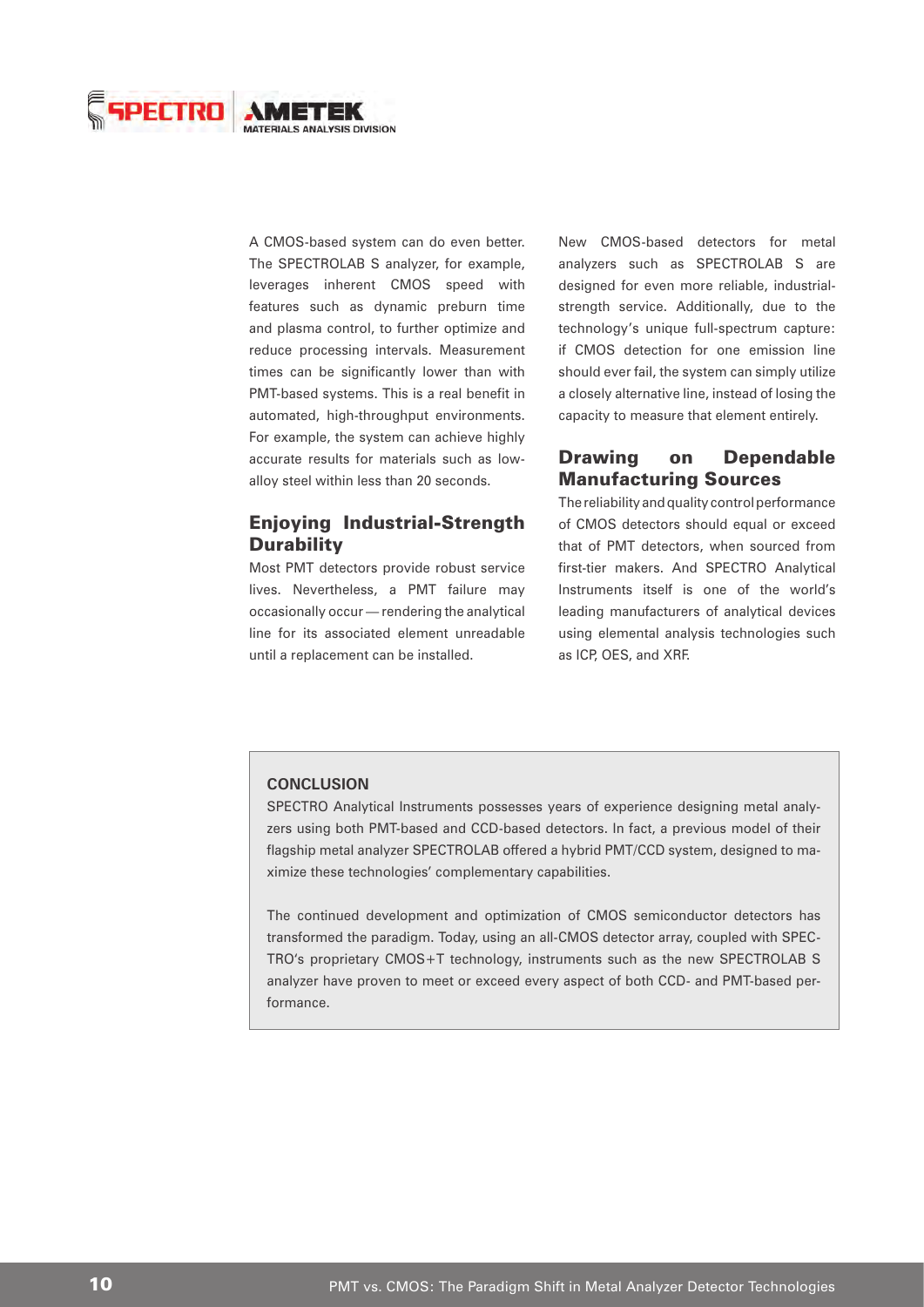

A CMOS-based system can do even better. The SPECTROLAB S analyzer, for example, leverages inherent CMOS speed with features such as dynamic preburn time and plasma control, to further optimize and reduce processing intervals. Measurement times can be significantly lower than with PMT-based systems. This is a real benefit in automated, high-throughput environments. For example, the system can achieve highly accurate results for materials such as lowalloy steel within less than 20 seconds.

## Enjoying Industrial-Strength **Durability**

Most PMT detectors provide robust service lives. Nevertheless, a PMT failure may occasionally occur — rendering the analytical line for its associated element unreadable until a replacement can be installed.

New CMOS-based detectors for metal analyzers such as SPECTROLAB S are designed for even more reliable, industrialstrength service. Additionally, due to the technology's unique full-spectrum capture: if CMOS detection for one emission line should ever fail, the system can simply utilize a closely alternative line, instead of losing the capacity to measure that element entirely.

## Drawing on Dependable Manufacturing Sources

The reliability and quality control performance of CMOS detectors should equal or exceed that of PMT detectors, when sourced from first-tier makers. And SPECTRO Analytical Instruments itself is one of the world's leading manufacturers of analytical devices using elemental analysis technologies such as ICP, OES, and XRF.

#### **CONCLUSION**

SPECTRO Analytical Instruments possesses years of experience designing metal analyzers using both PMT-based and CCD-based detectors. In fact, a previous model of their flagship metal analyzer SPECTROLAB offered a hybrid PMT/CCD system, designed to maximize these technologies' complementary capabilities.

The continued development and optimization of CMOS semiconductor detectors has transformed the paradigm. Today, using an all-CMOS detector array, coupled with SPEC-TRO's proprietary CMOS+T technology, instruments such as the new SPECTROLAB S analyzer have proven to meet or exceed every aspect of both CCD- and PMT-based performance.